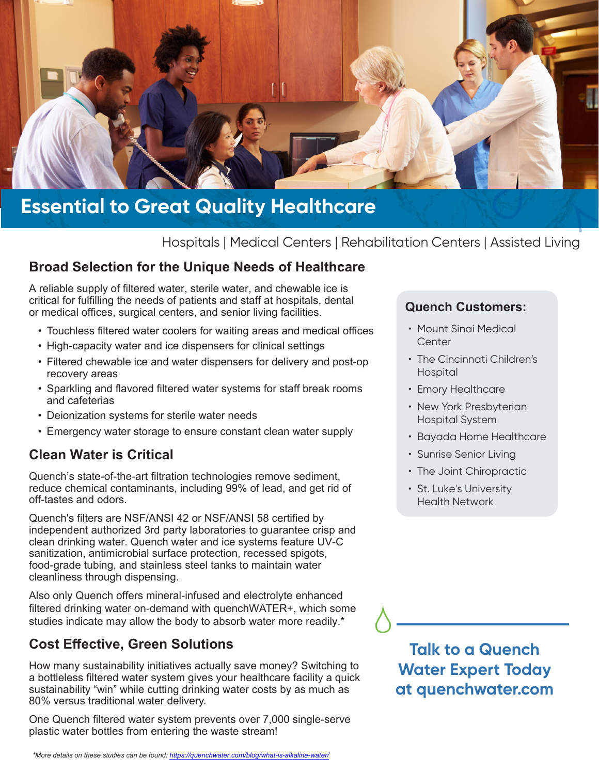

# **Essential to Great Quality Healthcare**

Hospitals | Medical Centers | Rehabilitation Centers | Assisted Living

#### **Broad Selection for the Unique Needs of Healthcare**

A reliable supply of filtered water, sterile water, and chewable ice is critical for fulfilling the needs of patients and staff at hospitals, dental or medical offices, surgical centers, and senior living facilities.

- Touchless filtered water coolers for waiting areas and medical offices
- High-capacity water and ice dispensers for clinical settings
- Filtered chewable ice and water dispensers for delivery and post-op recovery areas
- Sparkling and flavored filtered water systems for staff break rooms and cafeterias
- Deionization systems for sterile water needs
- Emergency water storage to ensure constant clean water supply

#### **Clean Water is Critical**

Quench's state-of-the-art filtration technologies remove sediment, reduce chemical contaminants, including 99% of lead, and get rid of off-tastes and odors.

Quench's filters are NSF/ANSI 42 or NSF/ANSI 58 certified by independent authorized 3rd party laboratories to guarantee crisp and clean drinking water. Quench water and ice systems feature UV-C sanitization, antimicrobial surface protection, recessed spigots, food-grade tubing, and stainless steel tanks to maintain water cleanliness through dispensing.

Also only Quench offers mineral-infused and electrolyte enhanced filtered drinking water on-demand with quenchWATER+, which some studies indicate may allow the body to absorb water more readily.\*

#### **Cost Effective, Green Solutions**

How many sustainability initiatives actually save money? Switching to a bottleless filtered water system gives your healthcare facility a quick sustainability "win" while cutting drinking water costs by as much as 80% versus traditional water delivery.

One Quench filtered water system prevents over 7,000 single-serve plastic water bottles from entering the waste stream!

#### **Quench Customers:**

- Mount Sinai Medical Center
- The Cincinnati Children's Hospital
- Emory Healthcare
- New York Presbyterian Hospital System
- Bayada Home Healthcare
- Sunrise Senior Living
- The Joint Chiropractic
- St. Luke's University Health Network

## **Talk to a Quench Water Expert Today at quenchwater.com**